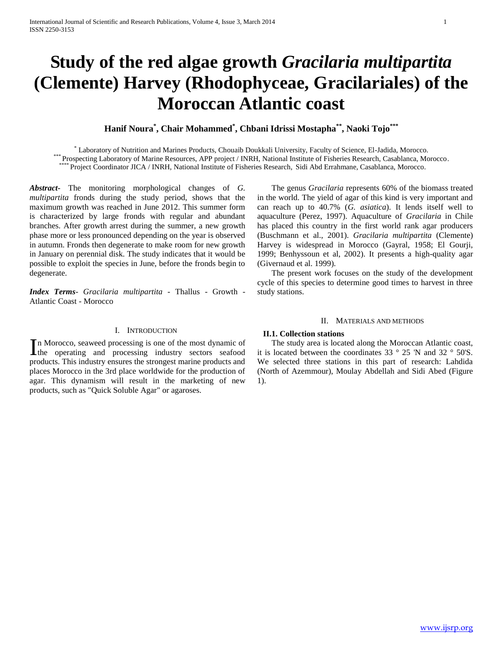# **Study of the red algae growth** *Gracilaria multipartita* **(Clemente) Harvey (Rhodophyceae, Gracilariales) of the Moroccan Atlantic coast**

# **Hanif Noura\* , Chair Mohammed\* , Chbani Idrissi Mostapha\*\*, Naoki Tojo\*\*\***

\* Laboratory of Nutrition and Marines Products, Chouaib Doukkali University, Faculty of Science, El-Jadida, Morocco. \*\*\* Prospecting Laboratory of Marine Resources, APP project / INRH, National Institute of Fisheries Research, Casablanca, Morocco. Project Coordinator JICA / INRH, National Institute of Fisheries Research, Sidi Abd Errahmane, Casablanca, Morocco.

*Abstract***-** The monitoring morphological changes of *G. multipartita* fronds during the study period, shows that the maximum growth was reached in June 2012. This summer form is characterized by large fronds with regular and abundant branches. After growth arrest during the summer, a new growth phase more or less pronounced depending on the year is observed in autumn. Fronds then degenerate to make room for new growth in January on perennial disk. The study indicates that it would be possible to exploit the species in June, before the fronds begin to degenerate.

*Index Terms*- *Gracilaria multipartita* - Thallus - Growth - Atlantic Coast - Morocco

# I. INTRODUCTION

n Morocco, seaweed processing is one of the most dynamic of In Morocco, seaweed processing is one of the most dynamic of<br>the operating and processing industry sectors seafood products. This industry ensures the strongest marine products and places Morocco in the 3rd place worldwide for the production of agar. This dynamism will result in the marketing of new products, such as "Quick Soluble Agar" or agaroses.

 The genus *Gracilaria* represents 60% of the biomass treated in the world. The yield of agar of this kind is very important and can reach up to 40.7% (*G. asiatica*). It lends itself well to aquaculture (Perez, 1997). Aquaculture of *Gracilaria* in Chile has placed this country in the first world rank agar producers (Buschmann et al., 2001). *Gracilaria multipartita* (Clemente) Harvey is widespread in Morocco (Gayral, 1958; El Gourji, 1999; Benhyssoun et al, 2002). It presents a high-quality agar (Givernaud et al. 1999).

 The present work focuses on the study of the development cycle of this species to determine good times to harvest in three study stations.

#### II. MATERIALS AND METHODS

#### **II.1. Collection stations**

 The study area is located along the Moroccan Atlantic coast, it is located between the coordinates 33 ° 25 'N and 32 ° 50'S. We selected three stations in this part of research: Lahdida (North of Azemmour), Moulay Abdellah and Sidi Abed (Figure 1).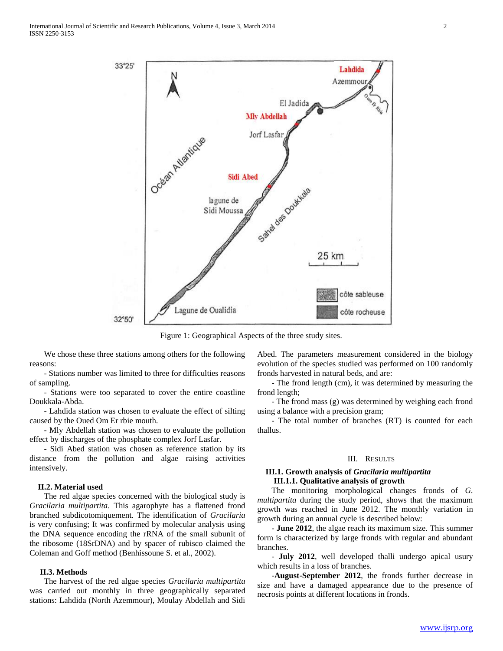

Figure 1: Geographical Aspects of the three study sites.

 We chose these three stations among others for the following reasons:

 - Stations number was limited to three for difficulties reasons of sampling.

 - Stations were too separated to cover the entire coastline Doukkala-Abda.

 - Lahdida station was chosen to evaluate the effect of silting caused by the Oued Om Er rbie mouth.

 - Mly Abdellah station was chosen to evaluate the pollution effect by discharges of the phosphate complex Jorf Lasfar.

 - Sidi Abed station was chosen as reference station by its distance from the pollution and algae raising activities intensively.

### **II.2. Material used**

 The red algae species concerned with the biological study is *Gracilaria multipartita*. This agarophyte has a flattened frond branched subdicotomiquement. The identification of *Gracilaria* is very confusing; It was confirmed by molecular analysis using the DNA sequence encoding the rRNA of the small subunit of the ribosome (18SrDNA) and by spacer of rubisco claimed the Coleman and Goff method (Benhissoune S. et al., 2002).

#### **II.3. Methods**

 The harvest of the red algae species *Gracilaria multipartita* was carried out monthly in three geographically separated stations: Lahdida (North Azemmour), Moulay Abdellah and Sidi

Abed. The parameters measurement considered in the biology evolution of the species studied was performed on 100 randomly fronds harvested in natural beds, and are:

 - The frond length (cm), it was determined by measuring the frond length;

 - The frond mass (g) was determined by weighing each frond using a balance with a precision gram;

 - The total number of branches (RT) is counted for each thallus.

# III. RESULTS

#### **III.1. Growth analysis of** *Gracilaria multipartita*  **III.1.1. Qualitative analysis of growth**

 The monitoring morphological changes fronds of *G. multipartita* during the study period, shows that the maximum growth was reached in June 2012. The monthly variation in growth during an annual cycle is described below:

 - **June 2012**, the algae reach its maximum size. This summer form is characterized by large fronds with regular and abundant branches.

 - **July 2012**, well developed thalli undergo apical usury which results in a loss of branches.

 -**August-September 2012**, the fronds further decrease in size and have a damaged appearance due to the presence of necrosis points at different locations in fronds.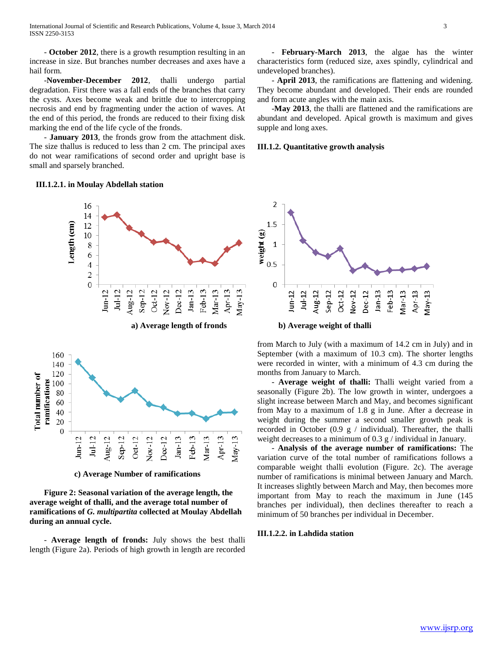- **October 2012**, there is a growth resumption resulting in an increase in size. But branches number decreases and axes have a hail form.

 -**November-December 2012**, thalli undergo partial degradation. First there was a fall ends of the branches that carry the cysts. Axes become weak and brittle due to intercropping necrosis and end by fragmenting under the action of waves. At the end of this period, the fronds are reduced to their fixing disk marking the end of the life cycle of the fronds.

 - **January 2013**, the fronds grow from the attachment disk. The size thallus is reduced to less than 2 cm. The principal axes do not wear ramifications of second order and upright base is small and sparsely branched.

#### **III.1.2.1. in Moulay Abdellah station**



**c) Average Number of ramifications**

 **Figure 2: Seasonal variation of the average length, the average weight of thalli, and the average total number of ramifications of** *G. multipartita* **collected at Moulay Abdellah during an annual cycle.**

 - **Average length of fronds:** July shows the best thalli length (Figure 2a). Periods of high growth in length are recorded

 - **February-March 2013**, the algae has the winter characteristics form (reduced size, axes spindly, cylindrical and undeveloped branches).

 - **April 2013**, the ramifications are flattening and widening. They become abundant and developed. Their ends are rounded and form acute angles with the main axis.

 -**May 2013**, the thalli are flattened and the ramifications are abundant and developed. Apical growth is maximum and gives supple and long axes.

### **III.1.2. Quantitative growth analysis**



from March to July (with a maximum of 14.2 cm in July) and in September (with a maximum of 10.3 cm). The shorter lengths were recorded in winter, with a minimum of 4.3 cm during the months from January to March.

 - **Average weight of thalli:** Thalli weight varied from a seasonally (Figure 2b). The low growth in winter, undergoes a slight increase between March and May, and becomes significant from May to a maximum of 1.8 g in June. After a decrease in weight during the summer a second smaller growth peak is recorded in October (0.9  $g /$  individual). Thereafter, the thalli weight decreases to a minimum of 0.3 g / individual in January.

 - **Analysis of the average number of ramifications:** The variation curve of the total number of ramifications follows a comparable weight thalli evolution (Figure. 2c). The average number of ramifications is minimal between January and March. It increases slightly between March and May, then becomes more important from May to reach the maximum in June (145 branches per individual), then declines thereafter to reach a minimum of 50 branches per individual in December.

# **III.1.2.2. in Lahdida station**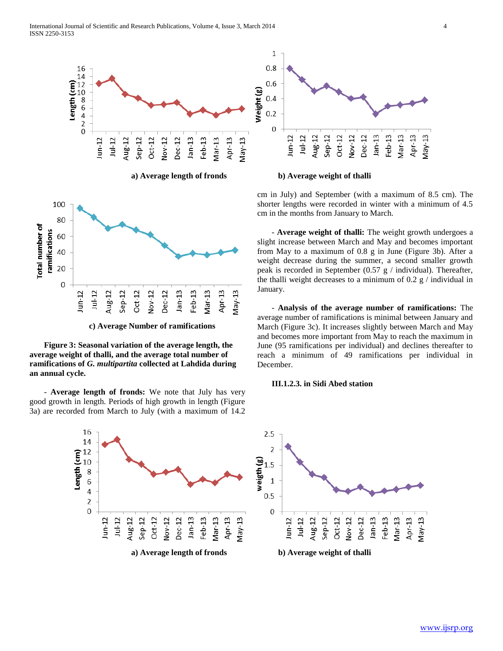





**c) Average Number of ramifications**

 **Figure 3: Seasonal variation of the average length, the average weight of thalli, and the average total number of ramifications of** *G. multipartita* **collected at Lahdida during an annual cycle.**

 - **Average length of fronds:** We note that July has very good growth in length. Periods of high growth in length (Figure 3a) are recorded from March to July (with a maximum of 14.2



**a) Average length of fronds b) Average weight of thalli** 

cm in July) and September (with a maximum of 8.5 cm). The shorter lengths were recorded in winter with a minimum of 4.5 cm in the months from January to March.

 - **Average weight of thalli:** The weight growth undergoes a slight increase between March and May and becomes important from May to a maximum of 0.8 g in June (Figure 3b). After a weight decrease during the summer, a second smaller growth peak is recorded in September (0.57 g / individual). Thereafter, the thalli weight decreases to a minimum of 0.2  $g /$  individual in January.

 - **Analysis of the average number of ramifications:** The average number of ramifications is minimal between January and March (Figure 3c). It increases slightly between March and May and becomes more important from May to reach the maximum in June (95 ramifications per individual) and declines thereafter to reach a minimum of 49 ramifications per individual in December.

### **III.1.2.3. in Sidi Abed station**

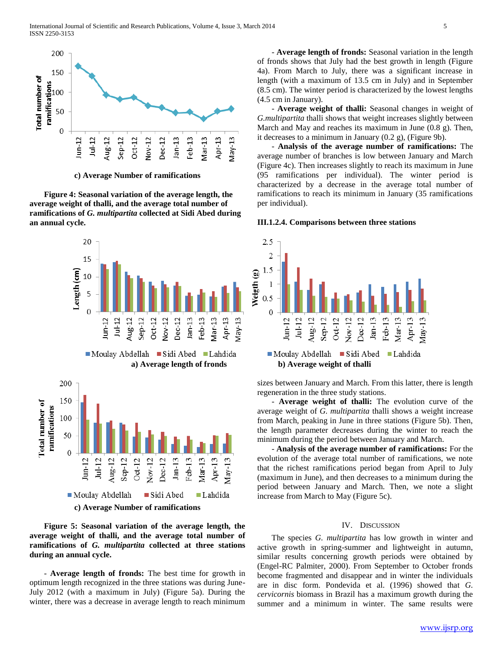

**c) Average Number of ramifications**

 **Figure 4: Seasonal variation of the average length, the average weight of thalli, and the average total number of ramifications of** *G. multipartita* **collected at Sidi Abed during an annual cycle.**



 **Figure 5: Seasonal variation of the average length, the average weight of thalli, and the average total number of ramifications of** *G. multipartita* **collected at three stations during an annual cycle.**

 - **Average length of fronds:** The best time for growth in optimum length recognized in the three stations was during June-July 2012 (with a maximum in July) (Figure 5a). During the winter, there was a decrease in average length to reach minimum

 - **Average length of fronds:** Seasonal variation in the length of fronds shows that July had the best growth in length (Figure 4a). From March to July, there was a significant increase in length (with a maximum of 13.5 cm in July) and in September (8.5 cm). The winter period is characterized by the lowest lengths (4.5 cm in January).

 - **Average weight of thalli:** Seasonal changes in weight of *G.multipartita* thalli shows that weight increases slightly between March and May and reaches its maximum in June (0.8 g). Then, it decreases to a minimum in January (0.2 g), (Figure 9b).

 - **Analysis of the average number of ramifications:** The average number of branches is low between January and March (Figure 4c). Then increases slightly to reach its maximum in June (95 ramifications per individual). The winter period is characterized by a decrease in the average total number of ramifications to reach its minimum in January (35 ramifications per individual).

#### **III.1.2.4. Comparisons between three stations**



sizes between January and March. From this latter, there is length regeneration in the three study stations.

 - **Average weight of thalli:** The evolution curve of the average weight of *G. multipartita* thalli shows a weight increase from March, peaking in June in three stations (Figure 5b). Then, the length parameter decreases during the winter to reach the minimum during the period between January and March.

 - **Analysis of the average number of ramifications:** For the evolution of the average total number of ramifications, we note that the richest ramifications period began from April to July (maximum in June), and then decreases to a minimum during the period between January and March. Then, we note a slight increase from March to May (Figure 5c).

#### IV. DISCUSSION

 The species *G. multipartita* has low growth in winter and active growth in spring-summer and lightweight in autumn, similar results concerning growth periods were obtained by (Engel-RC Palmiter, 2000). From September to October fronds become fragmented and disappear and in winter the individuals are in disc form. Pondevida et al. (1996) showed that *G. cervicornis* biomass in Brazil has a maximum growth during the summer and a minimum in winter. The same results were